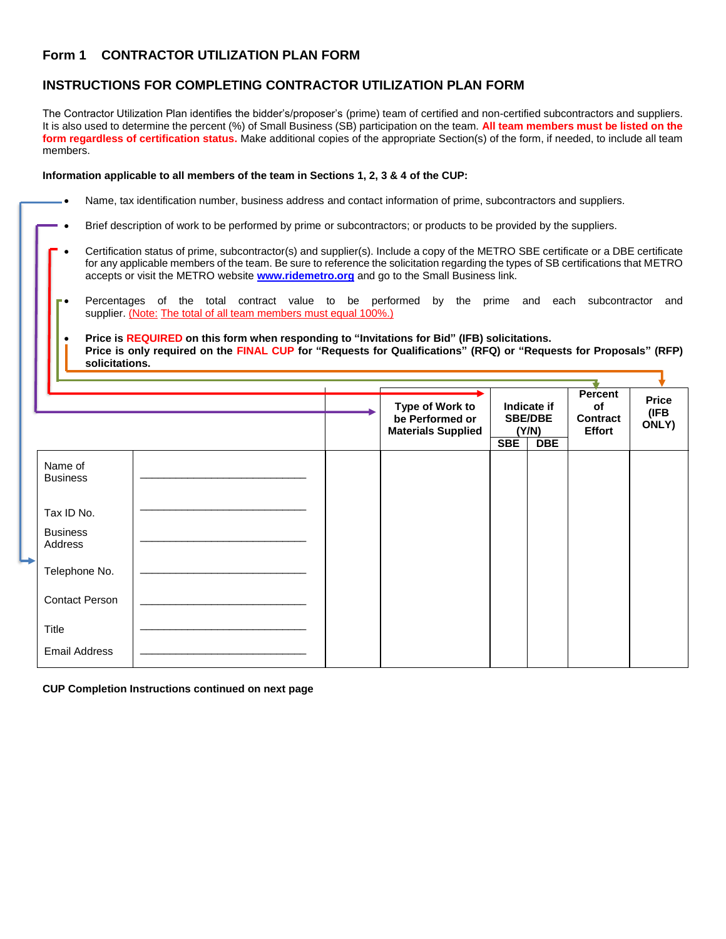## **Form 1 CONTRACTOR UTILIZATION PLAN FORM**

## **INSTRUCTIONS FOR COMPLETING CONTRACTOR UTILIZATION PLAN FORM**

The Contractor Utilization Plan identifies the bidder's/proposer's (prime) team of certified and non-certified subcontractors and suppliers. It is also used to determine the percent (%) of Small Business (SB) participation on the team. **All team members must be listed on the form regardless of certification status.** Make additional copies of the appropriate Section(s) of the form, if needed, to include all team members.

**Information applicable to all members of the team in Sections 1, 2, 3 & 4 of the CUP:**

|  |  |  |  | Name, tax identification number, business address and contact information of prime, subcontractors and suppliers. |
|--|--|--|--|-------------------------------------------------------------------------------------------------------------------|
|--|--|--|--|-------------------------------------------------------------------------------------------------------------------|

- Brief description of work to be performed by prime or subcontractors; or products to be provided by the suppliers.
- Certification status of prime, subcontractor(s) and supplier(s). Include a copy of the METRO SBE certificate or a DBE certificate for any applicable members of the team. Be sure to reference the solicitation regarding the types of SB certifications that METRO accepts or visit the METRO website **[www.ridemetro.org](http://www.ridemetro.org/)** and go to the Small Business link.
- Percentages of the total contract value to be performed by the prime and each subcontractor and supplier. (Note: The total of all team members must equal 100%.)
- **Price is REQUIRED on this form when responding to "Invitations for Bid" (IFB) solicitations. Price is only required on the FINAL CUP for "Requests for Qualifications" (RFQ) or "Requests for Proposals" (RFP) solicitations.**

|                            |  | Type of Work to<br>be Performed or<br><b>Materials Supplied</b> | Indicate if<br><b>SBE/DBE</b><br>(Y/N)<br><b>SBE</b><br><b>DBE</b> |  | <b>Percent</b><br><b>of</b><br><b>Contract</b><br><b>Effort</b> | <b>Price</b><br>(IFB<br>ONLY) |
|----------------------------|--|-----------------------------------------------------------------|--------------------------------------------------------------------|--|-----------------------------------------------------------------|-------------------------------|
| Name of<br><b>Business</b> |  |                                                                 |                                                                    |  |                                                                 |                               |
| Tax ID No.                 |  |                                                                 |                                                                    |  |                                                                 |                               |
| <b>Business</b><br>Address |  |                                                                 |                                                                    |  |                                                                 |                               |
| Telephone No.              |  |                                                                 |                                                                    |  |                                                                 |                               |
| <b>Contact Person</b>      |  |                                                                 |                                                                    |  |                                                                 |                               |
| Title                      |  |                                                                 |                                                                    |  |                                                                 |                               |
| <b>Email Address</b>       |  |                                                                 |                                                                    |  |                                                                 |                               |

**CUP Completion Instructions continued on next page**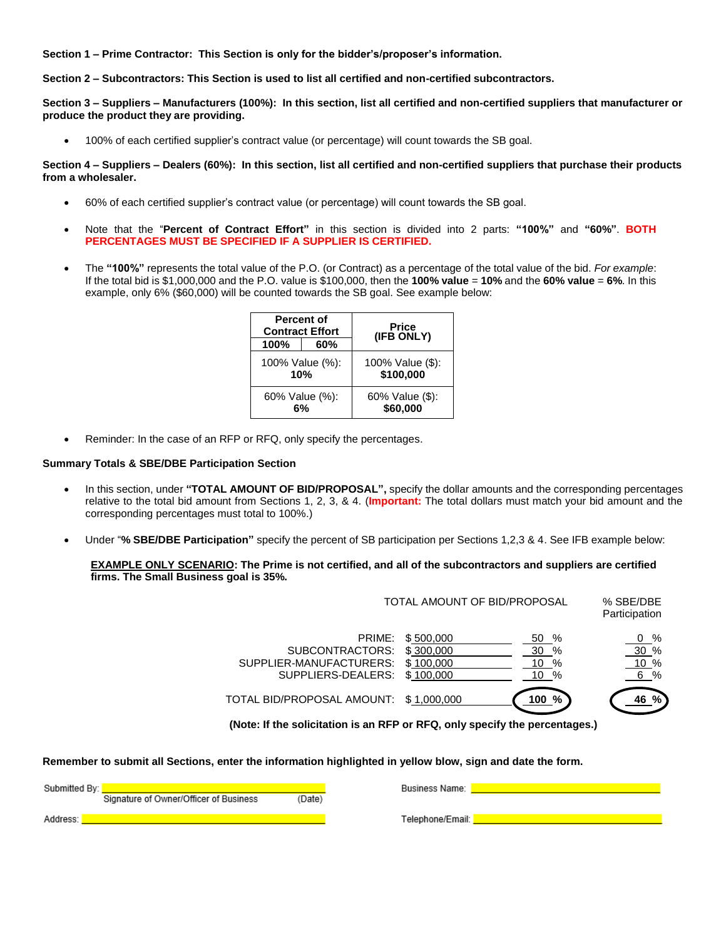**Section 1 – Prime Contractor: This Section is only for the bidder's/proposer's information.**

**Section 2 – Subcontractors: This Section is used to list all certified and non-certified subcontractors.**

**Section 3 – Suppliers – Manufacturers (100%): In this section, list all certified and non-certified suppliers that manufacturer or produce the product they are providing.**

• 100% of each certified supplier's contract value (or percentage) will count towards the SB goal.

**Section 4 – Suppliers – Dealers (60%): In this section, list all certified and non-certified suppliers that purchase their products from a wholesaler.**

- 60% of each certified supplier's contract value (or percentage) will count towards the SB goal.
- Note that the "**Percent of Contract Effort"** in this section is divided into 2 parts: **"100%"** and **"60%"**. **BOTH PERCENTAGES MUST BE SPECIFIED IF A SUPPLIER IS CERTIFIED.**
- The **"100%"** represents the total value of the P.O. (or Contract) as a percentage of the total value of the bid. *For example*: If the total bid is \$1,000,000 and the P.O. value is \$100,000, then the **100% value** = **10%** and the **60% value** = **6%**. In this example, only 6% (\$60,000) will be counted towards the SB goal. See example below:

|                      | <b>Percent of</b><br><b>Contract Effort</b> | <b>Price</b><br>(IFB ONLY)    |
|----------------------|---------------------------------------------|-------------------------------|
| 100%                 | 60%                                         |                               |
|                      | 100% Value (%):<br>10%                      | 100% Value (\$):<br>\$100,000 |
| 60% Value (%):<br>6% |                                             | 60% Value (\$):<br>\$60,000   |

Reminder: In the case of an RFP or RFQ, only specify the percentages.

## **Summary Totals & SBE/DBE Participation Section**

- In this section, under **"TOTAL AMOUNT OF BID/PROPOSAL",** specify the dollar amounts and the corresponding percentages relative to the total bid amount from Sections 1, 2, 3, & 4. (**Important:** The total dollars must match your bid amount and the corresponding percentages must total to 100%.)
- Under "**% SBE/DBE Participation"** specify the percent of SB participation per Sections 1,2,3 & 4. See IFB example below:

## **EXAMPLE ONLY SCENARIO: The Prime is not certified, and all of the subcontractors and suppliers are certified firms. The Small Business goal is 35%.**

|                                                                             | TOTAL AMOUNT OF BID/PROPOSAL                     |                                          |                           |
|-----------------------------------------------------------------------------|--------------------------------------------------|------------------------------------------|---------------------------|
| PRIME:<br>SUBCONTRACTORS:<br>SUPPLIER-MANUFACTURERS:<br>SUPPLIERS-DEALERS:  | \$500,000<br>\$300,000<br>\$100,000<br>\$100,000 | 50 %<br>30 %<br>10 %<br>$10 \frac{9}{6}$ | 0 %<br>30%<br>10 %<br>6 % |
| TOTAL BID/PROPOSAL AMOUNT: \$1,000,000                                      |                                                  | 100 %                                    | %<br>46                   |
| (Note: If the solicitation is an RFP or RFQ, only specify the percentages.) |                                                  |                                          |                           |

**Remember to submit all Sections, enter the information highlighted in yellow blow, sign and date the form.**

| Submitted By: |                                        |        |
|---------------|----------------------------------------|--------|
|               | Signature of Owner/Officer of Business | (Date) |

Address: <mark>I</mark>

Business Name: Name

Telephone/Email: |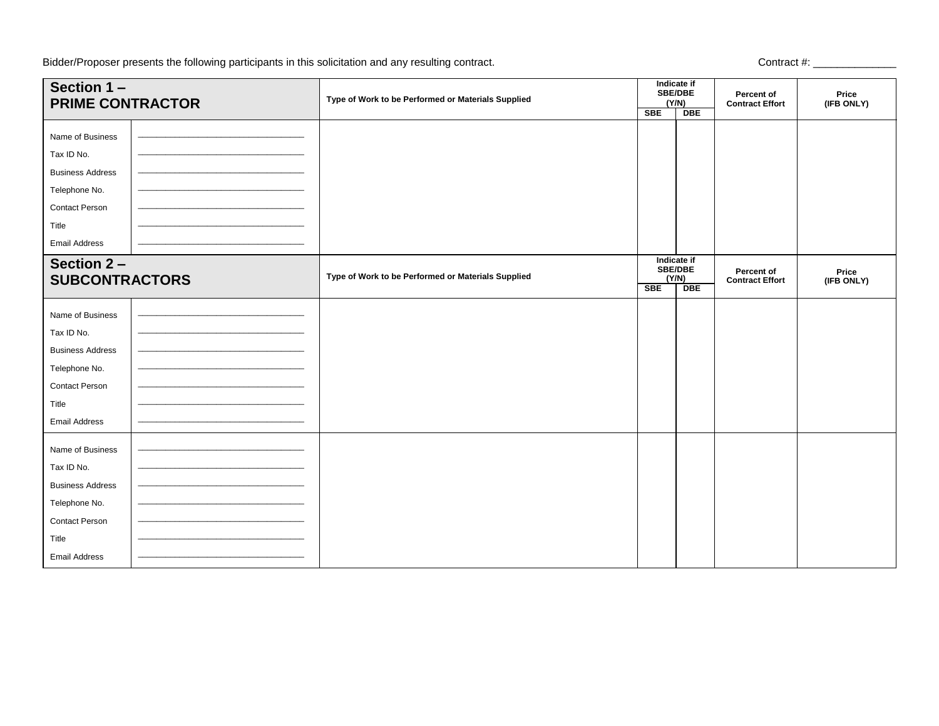Bidder/Proposer presents the following participants in this solicitation and any resulting contract.

| Section 1-<br><b>PRIME CONTRACTOR</b> | Type of Work to be Performed or Materials Supplied | Indicate if<br><b>SBE/DBE</b><br>(Y/N)<br><b>SBE</b><br><b>DBE</b> |                                                      | Percent of<br><b>Contract Effort</b> | Price<br>(IFB ONLY) |
|---------------------------------------|----------------------------------------------------|--------------------------------------------------------------------|------------------------------------------------------|--------------------------------------|---------------------|
| Name of Business                      |                                                    |                                                                    |                                                      |                                      |                     |
| Tax ID No.                            |                                                    |                                                                    |                                                      |                                      |                     |
| <b>Business Address</b>               |                                                    |                                                                    |                                                      |                                      |                     |
| Telephone No.                         |                                                    |                                                                    |                                                      |                                      |                     |
| Contact Person                        |                                                    |                                                                    |                                                      |                                      |                     |
| Title                                 |                                                    |                                                                    |                                                      |                                      |                     |
| <b>Email Address</b>                  |                                                    |                                                                    |                                                      |                                      |                     |
| Section 2-<br><b>SUBCONTRACTORS</b>   | Type of Work to be Performed or Materials Supplied | <b>SBE</b>                                                         | Indicate if<br><b>SBE/DBE</b><br>(Y/N)<br><b>DBE</b> | Percent of<br><b>Contract Effort</b> | Price<br>(IFB ONLY) |
| Name of Business                      |                                                    |                                                                    |                                                      |                                      |                     |
| Tax ID No.                            |                                                    |                                                                    |                                                      |                                      |                     |
| <b>Business Address</b>               |                                                    |                                                                    |                                                      |                                      |                     |
| Telephone No.                         |                                                    |                                                                    |                                                      |                                      |                     |
| Contact Person                        |                                                    |                                                                    |                                                      |                                      |                     |
| Title                                 |                                                    |                                                                    |                                                      |                                      |                     |
| <b>Email Address</b>                  |                                                    |                                                                    |                                                      |                                      |                     |
| Name of Business                      |                                                    |                                                                    |                                                      |                                      |                     |
| Tax ID No.                            |                                                    |                                                                    |                                                      |                                      |                     |
| <b>Business Address</b>               |                                                    |                                                                    |                                                      |                                      |                     |
| Telephone No.                         |                                                    |                                                                    |                                                      |                                      |                     |
| <b>Contact Person</b>                 |                                                    |                                                                    |                                                      |                                      |                     |
| Title                                 |                                                    |                                                                    |                                                      |                                      |                     |
| <b>Email Address</b>                  |                                                    |                                                                    |                                                      |                                      |                     |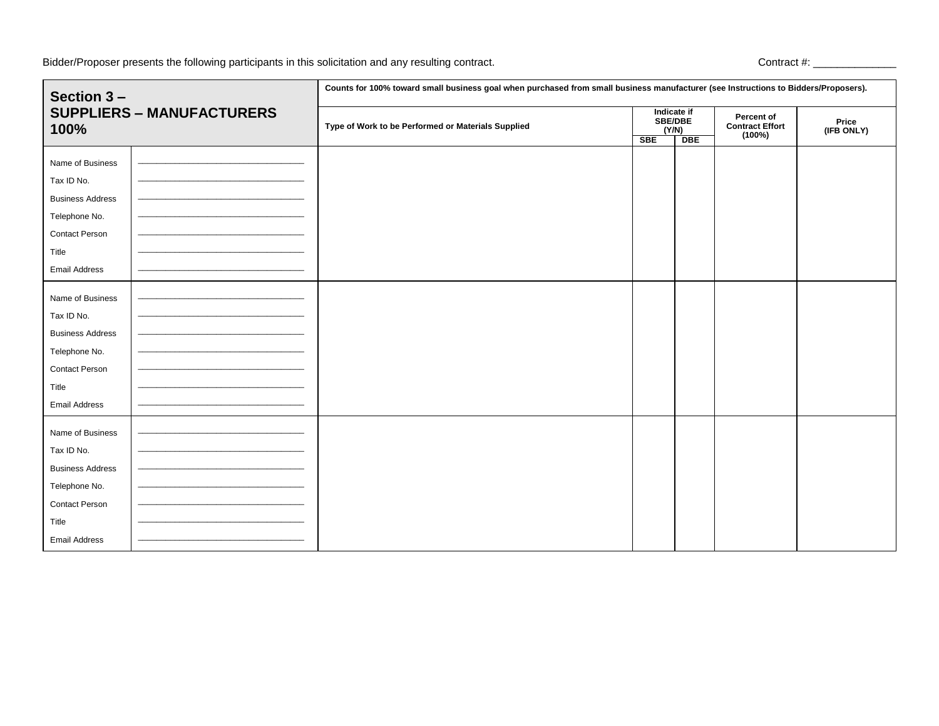Bidder/Proposer presents the following participants in this solicitation and any resulting contract.

| Section 3-<br><b>SUPPLIERS - MANUFACTURERS</b><br>100% |  | Counts for 100% toward small business goal when purchased from small business manufacturer (see Instructions to Bidders/Proposers). |  |                                        |                                                |                     |  |
|--------------------------------------------------------|--|-------------------------------------------------------------------------------------------------------------------------------------|--|----------------------------------------|------------------------------------------------|---------------------|--|
|                                                        |  | Type of Work to be Performed or Materials Supplied<br><b>SBE</b>                                                                    |  | Indicate if<br><b>SBE/DBE</b><br>(Y/N) | Percent of<br><b>Contract Effort</b><br>(100%) | Price<br>(IFB ONLY) |  |
|                                                        |  |                                                                                                                                     |  | <b>DBE</b>                             |                                                |                     |  |
| Name of Business                                       |  |                                                                                                                                     |  |                                        |                                                |                     |  |
| Tax ID No.                                             |  |                                                                                                                                     |  |                                        |                                                |                     |  |
| <b>Business Address</b>                                |  |                                                                                                                                     |  |                                        |                                                |                     |  |
| Telephone No.                                          |  |                                                                                                                                     |  |                                        |                                                |                     |  |
| Contact Person                                         |  |                                                                                                                                     |  |                                        |                                                |                     |  |
| Title                                                  |  |                                                                                                                                     |  |                                        |                                                |                     |  |
| <b>Email Address</b>                                   |  |                                                                                                                                     |  |                                        |                                                |                     |  |
| Name of Business                                       |  |                                                                                                                                     |  |                                        |                                                |                     |  |
| Tax ID No.                                             |  |                                                                                                                                     |  |                                        |                                                |                     |  |
| <b>Business Address</b>                                |  |                                                                                                                                     |  |                                        |                                                |                     |  |
| Telephone No.                                          |  |                                                                                                                                     |  |                                        |                                                |                     |  |
| Contact Person                                         |  |                                                                                                                                     |  |                                        |                                                |                     |  |
| Title                                                  |  |                                                                                                                                     |  |                                        |                                                |                     |  |
| <b>Email Address</b>                                   |  |                                                                                                                                     |  |                                        |                                                |                     |  |
| Name of Business                                       |  |                                                                                                                                     |  |                                        |                                                |                     |  |
| Tax ID No.                                             |  |                                                                                                                                     |  |                                        |                                                |                     |  |
| <b>Business Address</b>                                |  |                                                                                                                                     |  |                                        |                                                |                     |  |
| Telephone No.                                          |  |                                                                                                                                     |  |                                        |                                                |                     |  |
| <b>Contact Person</b>                                  |  |                                                                                                                                     |  |                                        |                                                |                     |  |
| Title                                                  |  |                                                                                                                                     |  |                                        |                                                |                     |  |
| <b>Email Address</b>                                   |  |                                                                                                                                     |  |                                        |                                                |                     |  |